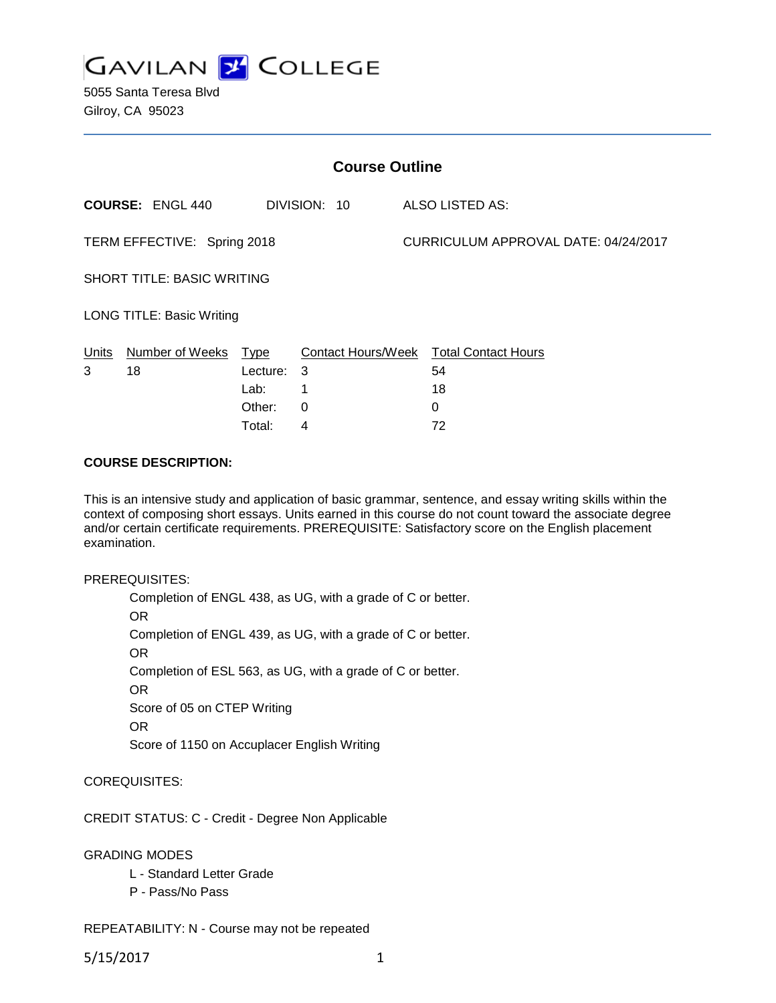

5055 Santa Teresa Blvd Gilroy, CA 95023

| <b>Course Outline</b>             |                         |             |                           |  |                                      |
|-----------------------------------|-------------------------|-------------|---------------------------|--|--------------------------------------|
|                                   | <b>COURSE: ENGL 440</b> |             | DIVISION: 10              |  | ALSO LISTED AS:                      |
| TERM EFFECTIVE: Spring 2018       |                         |             |                           |  | CURRICULUM APPROVAL DATE: 04/24/2017 |
| <b>SHORT TITLE: BASIC WRITING</b> |                         |             |                           |  |                                      |
| <b>LONG TITLE: Basic Writing</b>  |                         |             |                           |  |                                      |
| Units                             | Number of Weeks         | <u>Type</u> | <b>Contact Hours/Week</b> |  | <b>Total Contact Hours</b>           |
| 3                                 | 18                      | Lecture:    | 3                         |  | 54                                   |
|                                   |                         | Lab:        | 1                         |  | 18                                   |
|                                   |                         | Other:      | 0                         |  | 0                                    |
|                                   |                         | Total:      | 4                         |  | 72                                   |

#### **COURSE DESCRIPTION:**

This is an intensive study and application of basic grammar, sentence, and essay writing skills within the context of composing short essays. Units earned in this course do not count toward the associate degree and/or certain certificate requirements. PREREQUISITE: Satisfactory score on the English placement examination.

#### PREREQUISITES:

Completion of ENGL 438, as UG, with a grade of C or better. OR Completion of ENGL 439, as UG, with a grade of C or better. OR Completion of ESL 563, as UG, with a grade of C or better. OR Score of 05 on CTEP Writing OR Score of 1150 on Accuplacer English Writing

COREQUISITES:

CREDIT STATUS: C - Credit - Degree Non Applicable

GRADING MODES

- L Standard Letter Grade
- P Pass/No Pass

REPEATABILITY: N - Course may not be repeated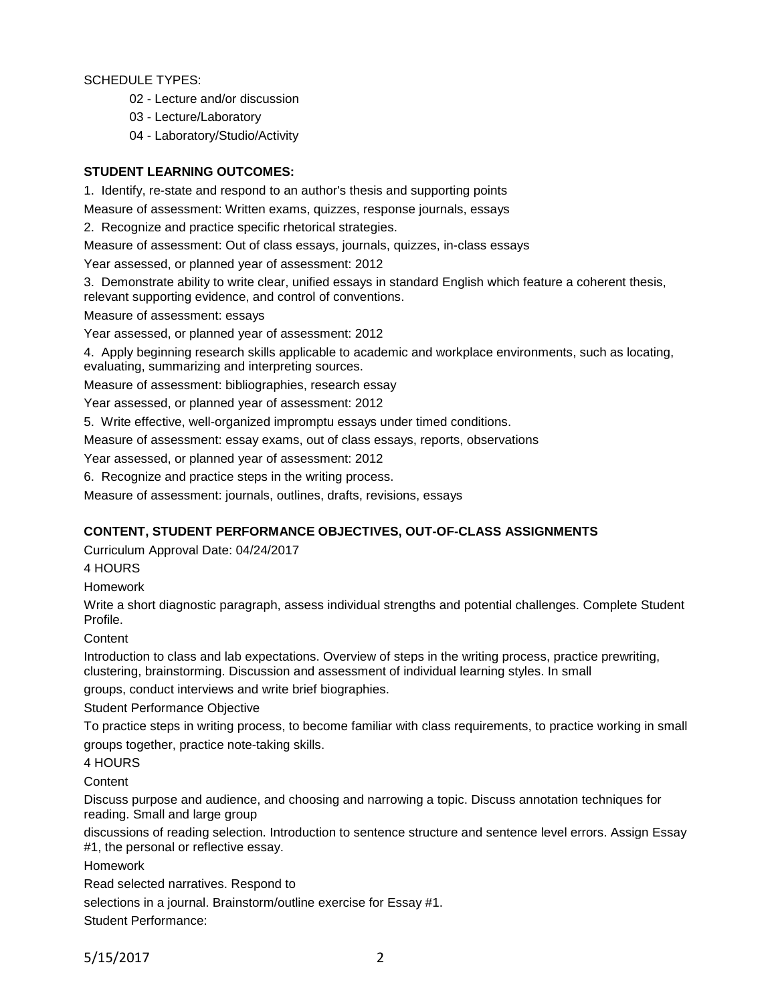SCHEDULE TYPES:

- 02 Lecture and/or discussion
- 03 Lecture/Laboratory
- 04 Laboratory/Studio/Activity

# **STUDENT LEARNING OUTCOMES:**

1. Identify, re-state and respond to an author's thesis and supporting points

Measure of assessment: Written exams, quizzes, response journals, essays

2. Recognize and practice specific rhetorical strategies.

Measure of assessment: Out of class essays, journals, quizzes, in-class essays

Year assessed, or planned year of assessment: 2012

3. Demonstrate ability to write clear, unified essays in standard English which feature a coherent thesis, relevant supporting evidence, and control of conventions.

Measure of assessment: essays

Year assessed, or planned year of assessment: 2012

4. Apply beginning research skills applicable to academic and workplace environments, such as locating, evaluating, summarizing and interpreting sources.

Measure of assessment: bibliographies, research essay

Year assessed, or planned year of assessment: 2012

5. Write effective, well-organized impromptu essays under timed conditions.

Measure of assessment: essay exams, out of class essays, reports, observations

Year assessed, or planned year of assessment: 2012

6. Recognize and practice steps in the writing process.

Measure of assessment: journals, outlines, drafts, revisions, essays

# **CONTENT, STUDENT PERFORMANCE OBJECTIVES, OUT-OF-CLASS ASSIGNMENTS**

Curriculum Approval Date: 04/24/2017

4 HOURS

Homework

Write a short diagnostic paragraph, assess individual strengths and potential challenges. Complete Student Profile.

**Content** 

Introduction to class and lab expectations. Overview of steps in the writing process, practice prewriting, clustering, brainstorming. Discussion and assessment of individual learning styles. In small

groups, conduct interviews and write brief biographies.

Student Performance Objective

To practice steps in writing process, to become familiar with class requirements, to practice working in small groups together, practice note-taking skills.

4 HOURS

**Content** 

Discuss purpose and audience, and choosing and narrowing a topic. Discuss annotation techniques for reading. Small and large group

discussions of reading selection. Introduction to sentence structure and sentence level errors. Assign Essay #1, the personal or reflective essay.

Homework

Read selected narratives. Respond to

selections in a journal. Brainstorm/outline exercise for Essay #1.

Student Performance: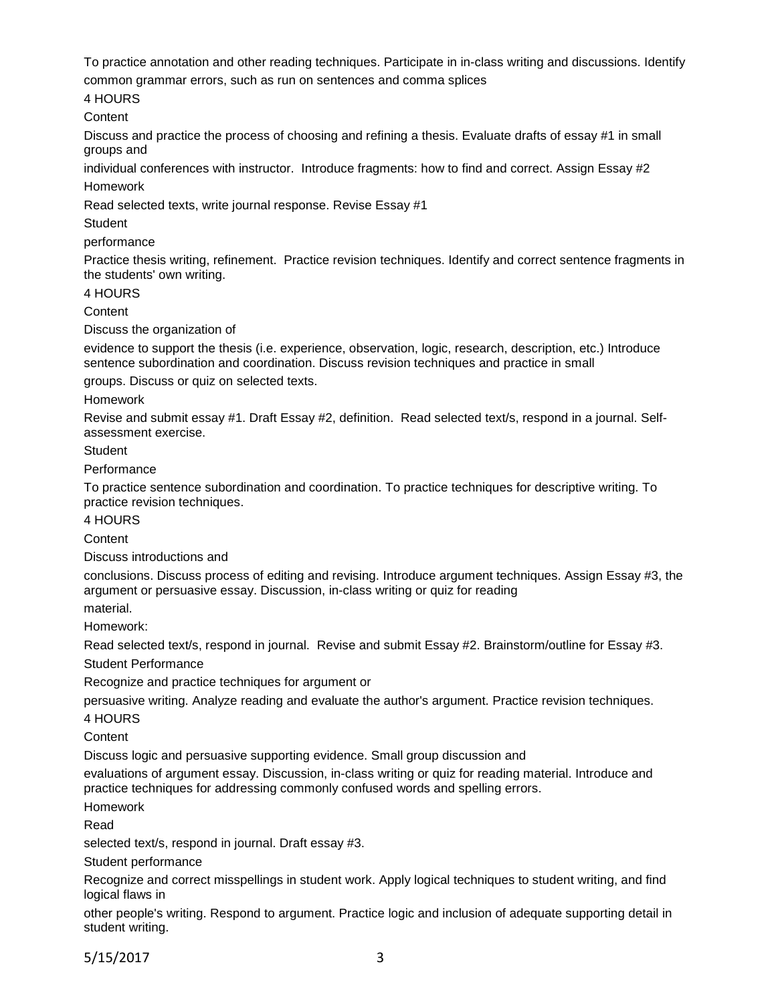To practice annotation and other reading techniques. Participate in in-class writing and discussions. Identify

common grammar errors, such as run on sentences and comma splices

4 HOURS

**Content** 

Discuss and practice the process of choosing and refining a thesis. Evaluate drafts of essay #1 in small groups and

individual conferences with instructor. Introduce fragments: how to find and correct. Assign Essay #2 Homework

Read selected texts, write journal response. Revise Essay #1

**Student** 

performance

Practice thesis writing, refinement. Practice revision techniques. Identify and correct sentence fragments in the students' own writing.

4 HOURS

**Content** 

Discuss the organization of

evidence to support the thesis (i.e. experience, observation, logic, research, description, etc.) Introduce sentence subordination and coordination. Discuss revision techniques and practice in small

groups. Discuss or quiz on selected texts.

#### Homework

Revise and submit essay #1. Draft Essay #2, definition. Read selected text/s, respond in a journal. Selfassessment exercise.

**Student** 

**Performance** 

To practice sentence subordination and coordination. To practice techniques for descriptive writing. To practice revision techniques.

4 HOURS

**Content** 

Discuss introductions and

conclusions. Discuss process of editing and revising. Introduce argument techniques. Assign Essay #3, the argument or persuasive essay. Discussion, in-class writing or quiz for reading

material.

Homework:

Read selected text/s, respond in journal. Revise and submit Essay #2. Brainstorm/outline for Essay #3. Student Performance

Recognize and practice techniques for argument or

persuasive writing. Analyze reading and evaluate the author's argument. Practice revision techniques.

4 HOURS

**Content** 

Discuss logic and persuasive supporting evidence. Small group discussion and

evaluations of argument essay. Discussion, in-class writing or quiz for reading material. Introduce and practice techniques for addressing commonly confused words and spelling errors.

Homework

Read

selected text/s, respond in journal. Draft essay #3.

Student performance

Recognize and correct misspellings in student work. Apply logical techniques to student writing, and find logical flaws in

other people's writing. Respond to argument. Practice logic and inclusion of adequate supporting detail in student writing.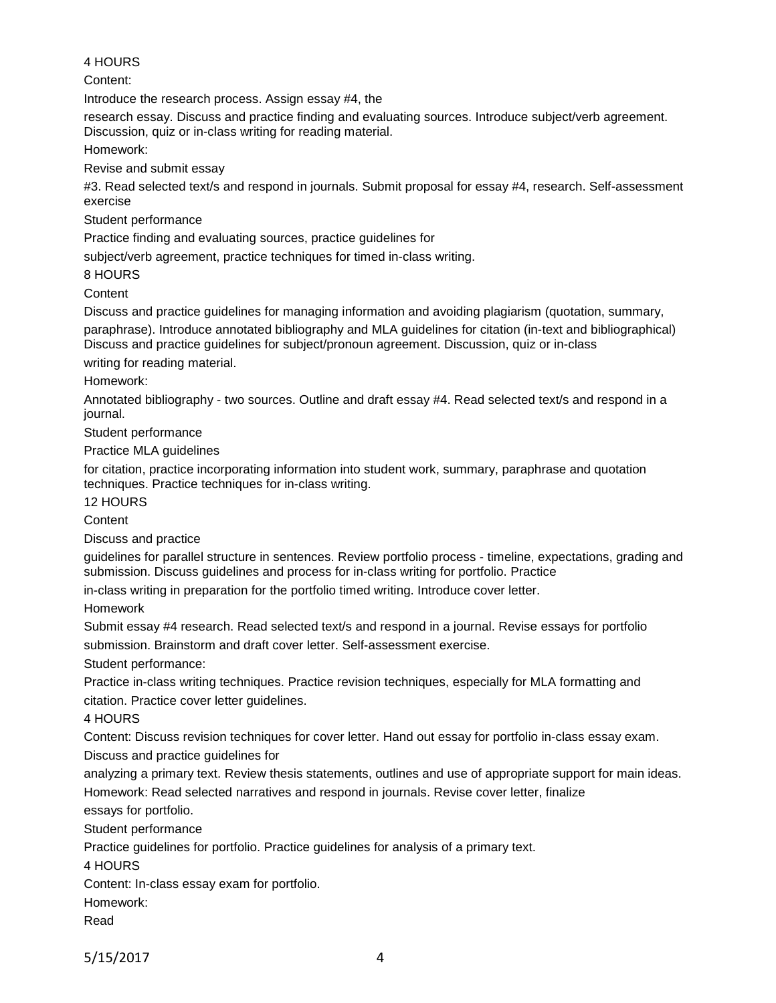#### 4 HOURS

Content:

Introduce the research process. Assign essay #4, the

research essay. Discuss and practice finding and evaluating sources. Introduce subject/verb agreement. Discussion, quiz or in-class writing for reading material.

Homework:

Revise and submit essay

#3. Read selected text/s and respond in journals. Submit proposal for essay #4, research. Self-assessment exercise

Student performance

Practice finding and evaluating sources, practice guidelines for

subject/verb agreement, practice techniques for timed in-class writing.

8 HOURS

**Content** 

Discuss and practice guidelines for managing information and avoiding plagiarism (quotation, summary, paraphrase). Introduce annotated bibliography and MLA guidelines for citation (in-text and bibliographical) Discuss and practice guidelines for subject/pronoun agreement. Discussion, quiz or in-class

writing for reading material.

Homework:

Annotated bibliography - two sources. Outline and draft essay #4. Read selected text/s and respond in a journal.

Student performance

Practice MLA guidelines

for citation, practice incorporating information into student work, summary, paraphrase and quotation techniques. Practice techniques for in-class writing.

12 HOURS

**Content** 

Discuss and practice

guidelines for parallel structure in sentences. Review portfolio process - timeline, expectations, grading and submission. Discuss guidelines and process for in-class writing for portfolio. Practice

in-class writing in preparation for the portfolio timed writing. Introduce cover letter.

Homework

Submit essay #4 research. Read selected text/s and respond in a journal. Revise essays for portfolio submission. Brainstorm and draft cover letter. Self-assessment exercise.

Student performance:

Practice in-class writing techniques. Practice revision techniques, especially for MLA formatting and citation. Practice cover letter guidelines.

4 HOURS

Content: Discuss revision techniques for cover letter. Hand out essay for portfolio in-class essay exam. Discuss and practice guidelines for

analyzing a primary text. Review thesis statements, outlines and use of appropriate support for main ideas. Homework: Read selected narratives and respond in journals. Revise cover letter, finalize

essays for portfolio.

Student performance

Practice guidelines for portfolio. Practice guidelines for analysis of a primary text.

4 HOURS

Content: In-class essay exam for portfolio.

Homework:

Read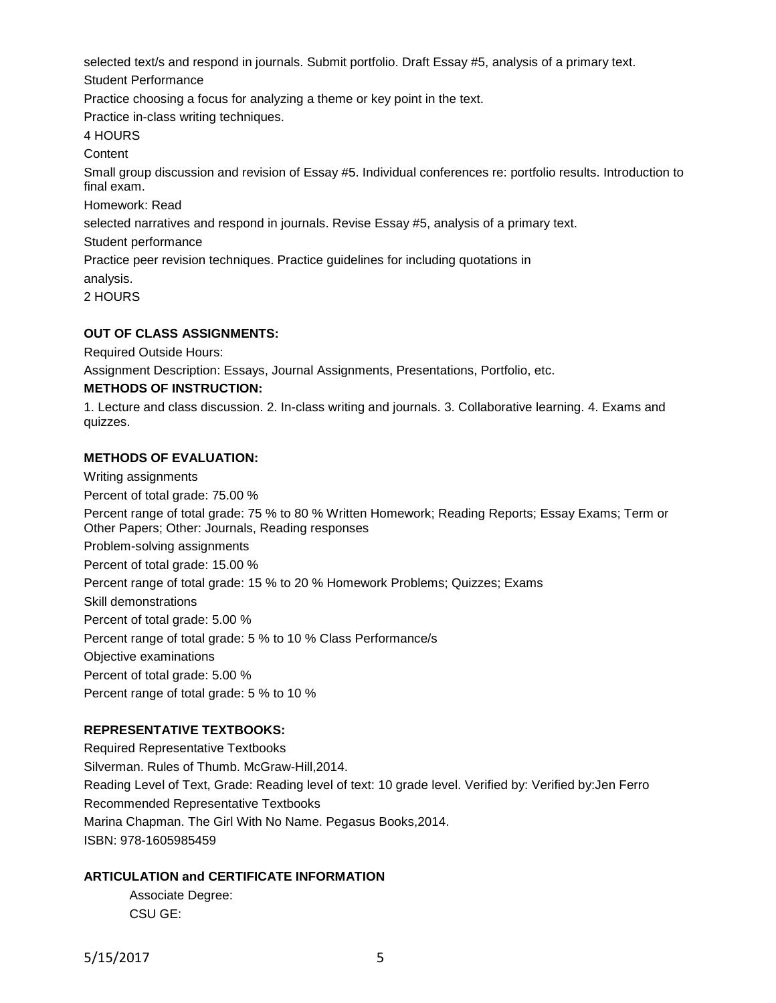selected text/s and respond in journals. Submit portfolio. Draft Essay #5, analysis of a primary text.

Student Performance

Practice choosing a focus for analyzing a theme or key point in the text.

Practice in-class writing techniques.

4 HOURS

**Content** 

Small group discussion and revision of Essay #5. Individual conferences re: portfolio results. Introduction to final exam.

Homework: Read

selected narratives and respond in journals. Revise Essay #5, analysis of a primary text.

Student performance

Practice peer revision techniques. Practice guidelines for including quotations in

analysis.

2 HOURS

# **OUT OF CLASS ASSIGNMENTS:**

Required Outside Hours:

Assignment Description: Essays, Journal Assignments, Presentations, Portfolio, etc.

#### **METHODS OF INSTRUCTION:**

1. Lecture and class discussion. 2. In-class writing and journals. 3. Collaborative learning. 4. Exams and quizzes.

# **METHODS OF EVALUATION:**

Writing assignments Percent of total grade: 75.00 % Percent range of total grade: 75 % to 80 % Written Homework; Reading Reports; Essay Exams; Term or Other Papers; Other: Journals, Reading responses Problem-solving assignments Percent of total grade: 15.00 % Percent range of total grade: 15 % to 20 % Homework Problems; Quizzes; Exams Skill demonstrations Percent of total grade: 5.00 % Percent range of total grade: 5 % to 10 % Class Performance/s Objective examinations Percent of total grade: 5.00 % Percent range of total grade: 5 % to 10 %

# **REPRESENTATIVE TEXTBOOKS:**

Required Representative Textbooks Silverman. Rules of Thumb. McGraw-Hill,2014. Reading Level of Text, Grade: Reading level of text: 10 grade level. Verified by: Verified by:Jen Ferro Recommended Representative Textbooks Marina Chapman. The Girl With No Name. Pegasus Books,2014. ISBN: 978-1605985459

# **ARTICULATION and CERTIFICATE INFORMATION**

Associate Degree: CSU GE: